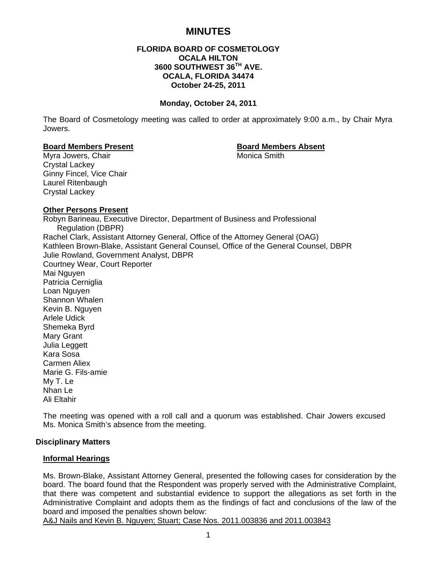# **MINUTES**

# **FLORIDA BOARD OF COSMETOLOGY OCALA HILTON 3600 SOUTHWEST 36TH AVE. OCALA, FLORIDA 34474 October 24-25, 2011**

#### **Monday, October 24, 2011**

The Board of Cosmetology meeting was called to order at approximately 9:00 a.m., by Chair Myra Jowers.

#### **Board Members Present Communist Communist Board Members Absent**

Myra Jowers, Chair **Music America** Smith Crystal Lackey Ginny Fincel, Vice Chair Laurel Ritenbaugh Crystal Lackey

#### **Other Persons Present**

Robyn Barineau, Executive Director, Department of Business and Professional Regulation (DBPR) Rachel Clark, Assistant Attorney General, Office of the Attorney General (OAG) Kathleen Brown-Blake, Assistant General Counsel, Office of the General Counsel, DBPR Julie Rowland, Government Analyst, DBPR Courtney Wear, Court Reporter Mai Nguyen Patricia Cerniglia Loan Nguyen Shannon Whalen Kevin B. Nguyen Arlele Udick Shemeka Byrd Mary Grant Julia Leggett Kara Sosa Carmen Aliex Marie G. Fils-amie My T. Le Nhan Le Ali Eltahir

The meeting was opened with a roll call and a quorum was established. Chair Jowers excused Ms. Monica Smith's absence from the meeting.

#### **Disciplinary Matters**

#### **Informal Hearings**

Ms. Brown-Blake, Assistant Attorney General, presented the following cases for consideration by the board. The board found that the Respondent was properly served with the Administrative Complaint, that there was competent and substantial evidence to support the allegations as set forth in the Administrative Complaint and adopts them as the findings of fact and conclusions of the law of the board and imposed the penalties shown below:

A&J Nails and Kevin B. Nguyen; Stuart; Case Nos. 2011.003836 and 2011.003843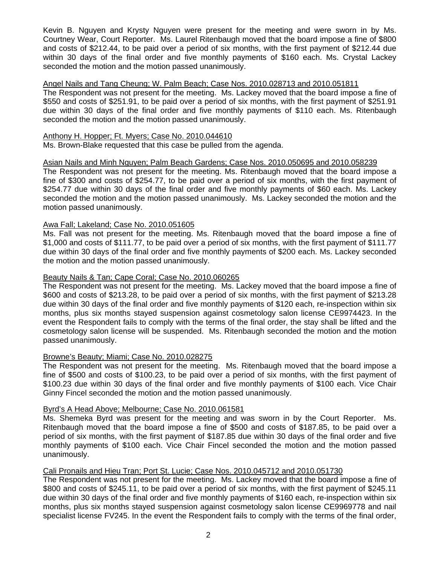Kevin B. Nguyen and Krysty Nguyen were present for the meeting and were sworn in by Ms. Courtney Wear, Court Reporter. Ms. Laurel Ritenbaugh moved that the board impose a fine of \$800 and costs of \$212.44, to be paid over a period of six months, with the first payment of \$212.44 due within 30 days of the final order and five monthly payments of \$160 each. Ms. Crystal Lackey seconded the motion and the motion passed unanimously.

# Angel Nails and Tang Cheung; W. Palm Beach; Case Nos. 2010.028713 and 2010.051811

The Respondent was not present for the meeting. Ms. Lackey moved that the board impose a fine of \$550 and costs of \$251.91, to be paid over a period of six months, with the first payment of \$251.91 due within 30 days of the final order and five monthly payments of \$110 each. Ms. Ritenbaugh seconded the motion and the motion passed unanimously.

## Anthony H. Hopper; Ft. Myers; Case No. 2010.044610

Ms. Brown-Blake requested that this case be pulled from the agenda.

# Asian Nails and Minh Nguyen; Palm Beach Gardens; Case Nos. 2010.050695 and 2010.058239

The Respondent was not present for the meeting. Ms. Ritenbaugh moved that the board impose a fine of \$300 and costs of \$254.77, to be paid over a period of six months, with the first payment of \$254.77 due within 30 days of the final order and five monthly payments of \$60 each. Ms. Lackey seconded the motion and the motion passed unanimously. Ms. Lackey seconded the motion and the motion passed unanimously.

# Awa Fall; Lakeland; Case No. 2010.051605

Ms. Fall was not present for the meeting. Ms. Ritenbaugh moved that the board impose a fine of \$1,000 and costs of \$111.77, to be paid over a period of six months, with the first payment of \$111.77 due within 30 days of the final order and five monthly payments of \$200 each. Ms. Lackey seconded the motion and the motion passed unanimously.

#### Beauty Nails & Tan; Cape Coral; Case No. 2010.060265

The Respondent was not present for the meeting. Ms. Lackey moved that the board impose a fine of \$600 and costs of \$213.28, to be paid over a period of six months, with the first payment of \$213.28 due within 30 days of the final order and five monthly payments of \$120 each, re-inspection within six months, plus six months stayed suspension against cosmetology salon license CE9974423. In the event the Respondent fails to comply with the terms of the final order, the stay shall be lifted and the cosmetology salon license will be suspended. Ms. Ritenbaugh seconded the motion and the motion passed unanimously.

# Browne's Beauty; Miami; Case No. 2010.028275

The Respondent was not present for the meeting. Ms. Ritenbaugh moved that the board impose a fine of \$500 and costs of \$100.23, to be paid over a period of six months, with the first payment of \$100.23 due within 30 days of the final order and five monthly payments of \$100 each. Vice Chair Ginny Fincel seconded the motion and the motion passed unanimously.

#### Byrd's A Head Above; Melbourne; Case No. 2010.061581

Ms. Shemeka Byrd was present for the meeting and was sworn in by the Court Reporter. Ms. Ritenbaugh moved that the board impose a fine of \$500 and costs of \$187.85, to be paid over a period of six months, with the first payment of \$187.85 due within 30 days of the final order and five monthly payments of \$100 each. Vice Chair Fincel seconded the motion and the motion passed unanimously.

# Cali Pronails and Hieu Tran; Port St. Lucie; Case Nos. 2010.045712 and 2010.051730

The Respondent was not present for the meeting. Ms. Lackey moved that the board impose a fine of \$800 and costs of \$245.11, to be paid over a period of six months, with the first payment of \$245.11 due within 30 days of the final order and five monthly payments of \$160 each, re-inspection within six months, plus six months stayed suspension against cosmetology salon license CE9969778 and nail specialist license FV245. In the event the Respondent fails to comply with the terms of the final order,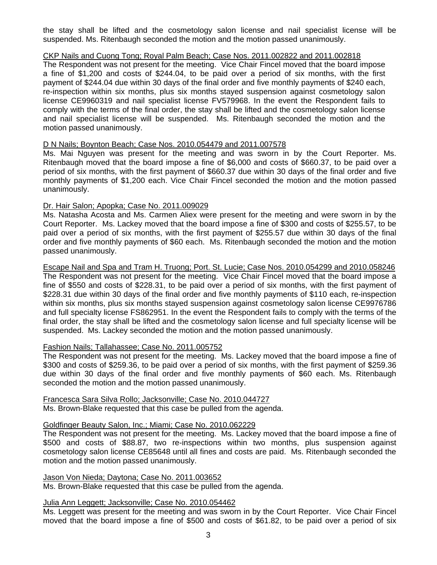the stay shall be lifted and the cosmetology salon license and nail specialist license will be suspended. Ms. Ritenbaugh seconded the motion and the motion passed unanimously.

# CKP Nails and Cuong Tong; Royal Palm Beach; Case Nos. 2011.002822 and 2011.002818

The Respondent was not present for the meeting. Vice Chair Fincel moved that the board impose a fine of \$1,200 and costs of \$244.04, to be paid over a period of six months, with the first payment of \$244.04 due within 30 days of the final order and five monthly payments of \$240 each, re-inspection within six months, plus six months stayed suspension against cosmetology salon license CE9960319 and nail specialist license FV579968. In the event the Respondent fails to comply with the terms of the final order, the stay shall be lifted and the cosmetology salon license and nail specialist license will be suspended. Ms. Ritenbaugh seconded the motion and the motion passed unanimously.

# D N Nails; Boynton Beach; Case Nos. 2010.054479 and 2011.007578

Ms. Mai Nguyen was present for the meeting and was sworn in by the Court Reporter. Ms. Ritenbaugh moved that the board impose a fine of \$6,000 and costs of \$660.37, to be paid over a period of six months, with the first payment of \$660.37 due within 30 days of the final order and five monthly payments of \$1,200 each. Vice Chair Fincel seconded the motion and the motion passed unanimously.

# Dr. Hair Salon; Apopka; Case No. 2011.009029

Ms. Natasha Acosta and Ms. Carmen Aliex were present for the meeting and were sworn in by the Court Reporter. Ms. Lackey moved that the board impose a fine of \$300 and costs of \$255.57, to be paid over a period of six months, with the first payment of \$255.57 due within 30 days of the final order and five monthly payments of \$60 each. Ms. Ritenbaugh seconded the motion and the motion passed unanimously.

# Escape Nail and Spa and Tram H. Truong; Port. St. Lucie; Case Nos. 2010.054299 and 2010.058246

The Respondent was not present for the meeting. Vice Chair Fincel moved that the board impose a fine of \$550 and costs of \$228.31, to be paid over a period of six months, with the first payment of \$228.31 due within 30 days of the final order and five monthly payments of \$110 each, re-inspection within six months, plus six months stayed suspension against cosmetology salon license CE9976786 and full specialty license FS862951. In the event the Respondent fails to comply with the terms of the final order, the stay shall be lifted and the cosmetology salon license and full specialty license will be suspended. Ms. Lackey seconded the motion and the motion passed unanimously.

# Fashion Nails; Tallahassee; Case No. 2011.005752

The Respondent was not present for the meeting. Ms. Lackey moved that the board impose a fine of \$300 and costs of \$259.36, to be paid over a period of six months, with the first payment of \$259.36 due within 30 days of the final order and five monthly payments of \$60 each. Ms. Ritenbaugh seconded the motion and the motion passed unanimously.

Francesca Sara Silva Rollo; Jacksonville; Case No. 2010.044727 Ms. Brown-Blake requested that this case be pulled from the agenda.

# Goldfinger Beauty Salon, Inc.; Miami; Case No. 2010.062229

The Respondent was not present for the meeting. Ms. Lackey moved that the board impose a fine of \$500 and costs of \$88.87, two re-inspections within two months, plus suspension against cosmetology salon license CE85648 until all fines and costs are paid. Ms. Ritenbaugh seconded the motion and the motion passed unanimously.

#### Jason Von Nieda; Daytona; Case No. 2011.003652

Ms. Brown-Blake requested that this case be pulled from the agenda.

#### Julia Ann Leggett; Jacksonville; Case No. 2010.054462

Ms. Leggett was present for the meeting and was sworn in by the Court Reporter. Vice Chair Fincel moved that the board impose a fine of \$500 and costs of \$61.82, to be paid over a period of six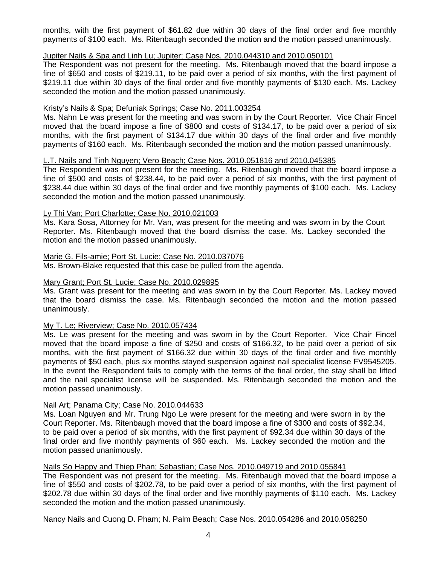months, with the first payment of \$61.82 due within 30 days of the final order and five monthly payments of \$100 each. Ms. Ritenbaugh seconded the motion and the motion passed unanimously.

# Jupiter Nails & Spa and Linh Lu; Jupiter; Case Nos. 2010.044310 and 2010.050101

The Respondent was not present for the meeting. Ms. Ritenbaugh moved that the board impose a fine of \$650 and costs of \$219.11, to be paid over a period of six months, with the first payment of \$219.11 due within 30 days of the final order and five monthly payments of \$130 each. Ms. Lackey seconded the motion and the motion passed unanimously.

# Kristy's Nails & Spa; Defuniak Springs; Case No. 2011.003254

Ms. Nahn Le was present for the meeting and was sworn in by the Court Reporter. Vice Chair Fincel moved that the board impose a fine of \$800 and costs of \$134.17, to be paid over a period of six months, with the first payment of \$134.17 due within 30 days of the final order and five monthly payments of \$160 each. Ms. Ritenbaugh seconded the motion and the motion passed unanimously.

# L.T. Nails and Tinh Nguyen; Vero Beach; Case Nos. 2010.051816 and 2010.045385

The Respondent was not present for the meeting. Ms. Ritenbaugh moved that the board impose a fine of \$500 and costs of \$238.44, to be paid over a period of six months, with the first payment of \$238.44 due within 30 days of the final order and five monthly payments of \$100 each. Ms. Lackey seconded the motion and the motion passed unanimously.

# Ly Thi Van; Port Charlotte; Case No. 2010.021003

Ms. Kara Sosa, Attorney for Mr. Van, was present for the meeting and was sworn in by the Court Reporter. Ms. Ritenbaugh moved that the board dismiss the case. Ms. Lackey seconded the motion and the motion passed unanimously.

# Marie G. Fils-amie; Port St. Lucie; Case No. 2010.037076

Ms. Brown-Blake requested that this case be pulled from the agenda.

# Mary Grant; Port St. Lucie; Case No. 2010.029895

Ms. Grant was present for the meeting and was sworn in by the Court Reporter. Ms. Lackey moved that the board dismiss the case. Ms. Ritenbaugh seconded the motion and the motion passed unanimously.

## My T. Le; Riverview; Case No. 2010.057434

Ms. Le was present for the meeting and was sworn in by the Court Reporter. Vice Chair Fincel moved that the board impose a fine of \$250 and costs of \$166.32, to be paid over a period of six months, with the first payment of \$166.32 due within 30 days of the final order and five monthly payments of \$50 each, plus six months stayed suspension against nail specialist license FV9545205. In the event the Respondent fails to comply with the terms of the final order, the stay shall be lifted and the nail specialist license will be suspended. Ms. Ritenbaugh seconded the motion and the motion passed unanimously.

# Nail Art; Panama City; Case No. 2010.044633

Ms. Loan Nguyen and Mr. Trung Ngo Le were present for the meeting and were sworn in by the Court Reporter. Ms. Ritenbaugh moved that the board impose a fine of \$300 and costs of \$92.34, to be paid over a period of six months, with the first payment of \$92.34 due within 30 days of the final order and five monthly payments of \$60 each. Ms. Lackey seconded the motion and the motion passed unanimously.

# Nails So Happy and Thiep Phan; Sebastian; Case Nos. 2010.049719 and 2010.055841

The Respondent was not present for the meeting. Ms. Ritenbaugh moved that the board impose a fine of \$550 and costs of \$202.78, to be paid over a period of six months, with the first payment of \$202.78 due within 30 days of the final order and five monthly payments of \$110 each. Ms. Lackey seconded the motion and the motion passed unanimously.

Nancy Nails and Cuong D. Pham; N. Palm Beach; Case Nos. 2010.054286 and 2010.058250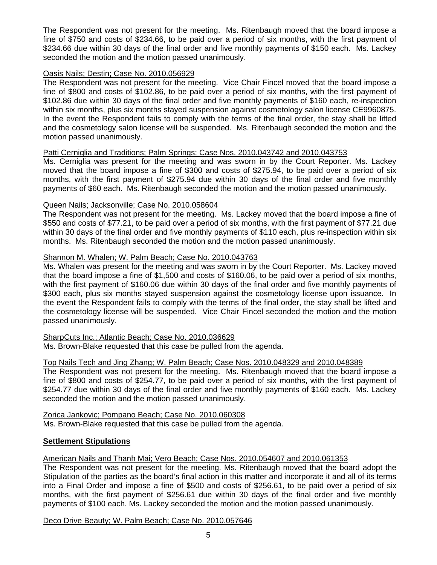The Respondent was not present for the meeting. Ms. Ritenbaugh moved that the board impose a fine of \$750 and costs of \$234.66, to be paid over a period of six months, with the first payment of \$234.66 due within 30 days of the final order and five monthly payments of \$150 each. Ms. Lackey seconded the motion and the motion passed unanimously.

# Oasis Nails; Destin; Case No. 2010.056929

The Respondent was not present for the meeting. Vice Chair Fincel moved that the board impose a fine of \$800 and costs of \$102.86, to be paid over a period of six months, with the first payment of \$102.86 due within 30 days of the final order and five monthly payments of \$160 each, re-inspection within six months, plus six months stayed suspension against cosmetology salon license CE9960875. In the event the Respondent fails to comply with the terms of the final order, the stay shall be lifted and the cosmetology salon license will be suspended. Ms. Ritenbaugh seconded the motion and the motion passed unanimously.

# Patti Cerniglia and Traditions; Palm Springs; Case Nos. 2010.043742 and 2010.043753

Ms. Cerniglia was present for the meeting and was sworn in by the Court Reporter. Ms. Lackey moved that the board impose a fine of \$300 and costs of \$275.94, to be paid over a period of six months, with the first payment of \$275.94 due within 30 days of the final order and five monthly payments of \$60 each. Ms. Ritenbaugh seconded the motion and the motion passed unanimously.

# Queen Nails; Jacksonville; Case No. 2010.058604

The Respondent was not present for the meeting. Ms. Lackey moved that the board impose a fine of \$550 and costs of \$77.21, to be paid over a period of six months, with the first payment of \$77.21 due within 30 days of the final order and five monthly payments of \$110 each, plus re-inspection within six months. Ms. Ritenbaugh seconded the motion and the motion passed unanimously.

# Shannon M. Whalen; W. Palm Beach; Case No. 2010.043763

Ms. Whalen was present for the meeting and was sworn in by the Court Reporter. Ms. Lackey moved that the board impose a fine of \$1,500 and costs of \$160.06, to be paid over a period of six months, with the first payment of \$160.06 due within 30 days of the final order and five monthly payments of \$300 each, plus six months stayed suspension against the cosmetology license upon issuance. In the event the Respondent fails to comply with the terms of the final order, the stay shall be lifted and the cosmetology license will be suspended. Vice Chair Fincel seconded the motion and the motion passed unanimously.

#### SharpCuts Inc.; Atlantic Beach; Case No. 2010.036629

Ms. Brown-Blake requested that this case be pulled from the agenda.

#### Top Nails Tech and Jing Zhang; W. Palm Beach; Case Nos. 2010.048329 and 2010.048389

The Respondent was not present for the meeting. Ms. Ritenbaugh moved that the board impose a fine of \$800 and costs of \$254.77, to be paid over a period of six months, with the first payment of \$254.77 due within 30 days of the final order and five monthly payments of \$160 each. Ms. Lackey seconded the motion and the motion passed unanimously.

Zorica Jankovic; Pompano Beach; Case No. 2010.060308 Ms. Brown-Blake requested that this case be pulled from the agenda.

#### **Settlement Stipulations**

# American Nails and Thanh Mai; Vero Beach; Case Nos. 2010.054607 and 2010.061353

The Respondent was not present for the meeting. Ms. Ritenbaugh moved that the board adopt the Stipulation of the parties as the board's final action in this matter and incorporate it and all of its terms into a Final Order and impose a fine of \$500 and costs of \$256.61, to be paid over a period of six months, with the first payment of \$256.61 due within 30 days of the final order and five monthly payments of \$100 each. Ms. Lackey seconded the motion and the motion passed unanimously.

Deco Drive Beauty; W. Palm Beach; Case No. 2010.057646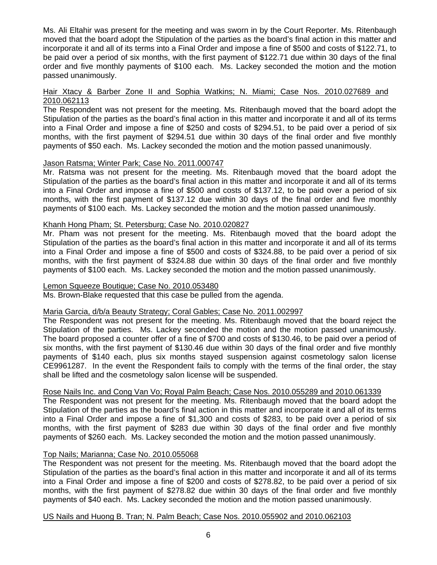Ms. Ali Eltahir was present for the meeting and was sworn in by the Court Reporter. Ms. Ritenbaugh moved that the board adopt the Stipulation of the parties as the board's final action in this matter and incorporate it and all of its terms into a Final Order and impose a fine of \$500 and costs of \$122.71, to be paid over a period of six months, with the first payment of \$122.71 due within 30 days of the final order and five monthly payments of \$100 each. Ms. Lackey seconded the motion and the motion passed unanimously.

# Hair Xtacy & Barber Zone II and Sophia Watkins; N. Miami; Case Nos. 2010.027689 and 2010.062113

The Respondent was not present for the meeting. Ms. Ritenbaugh moved that the board adopt the Stipulation of the parties as the board's final action in this matter and incorporate it and all of its terms into a Final Order and impose a fine of \$250 and costs of \$294.51, to be paid over a period of six months, with the first payment of \$294.51 due within 30 days of the final order and five monthly payments of \$50 each. Ms. Lackey seconded the motion and the motion passed unanimously.

# Jason Ratsma; Winter Park; Case No. 2011.000747

Mr. Ratsma was not present for the meeting. Ms. Ritenbaugh moved that the board adopt the Stipulation of the parties as the board's final action in this matter and incorporate it and all of its terms into a Final Order and impose a fine of \$500 and costs of \$137.12, to be paid over a period of six months, with the first payment of \$137.12 due within 30 days of the final order and five monthly payments of \$100 each. Ms. Lackey seconded the motion and the motion passed unanimously.

# Khanh Hong Pham; St. Petersburg; Case No. 2010.020827

Mr. Pham was not present for the meeting. Ms. Ritenbaugh moved that the board adopt the Stipulation of the parties as the board's final action in this matter and incorporate it and all of its terms into a Final Order and impose a fine of \$500 and costs of \$324.88, to be paid over a period of six months, with the first payment of \$324.88 due within 30 days of the final order and five monthly payments of \$100 each. Ms. Lackey seconded the motion and the motion passed unanimously.

## Lemon Squeeze Boutique; Case No. 2010.053480

Ms. Brown-Blake requested that this case be pulled from the agenda.

# Maria Garcia, d/b/a Beauty Strategy; Coral Gables; Case No. 2011.002997

The Respondent was not present for the meeting. Ms. Ritenbaugh moved that the board reject the Stipulation of the parties. Ms. Lackey seconded the motion and the motion passed unanimously. The board proposed a counter offer of a fine of \$700 and costs of \$130.46, to be paid over a period of six months, with the first payment of \$130.46 due within 30 days of the final order and five monthly payments of \$140 each, plus six months stayed suspension against cosmetology salon license CE9961287. In the event the Respondent fails to comply with the terms of the final order, the stay shall be lifted and the cosmetology salon license will be suspended.

# Rose Nails Inc. and Cong Van Vo; Royal Palm Beach; Case Nos. 2010.055289 and 2010.061339

The Respondent was not present for the meeting. Ms. Ritenbaugh moved that the board adopt the Stipulation of the parties as the board's final action in this matter and incorporate it and all of its terms into a Final Order and impose a fine of \$1,300 and costs of \$283, to be paid over a period of six months, with the first payment of \$283 due within 30 days of the final order and five monthly payments of \$260 each. Ms. Lackey seconded the motion and the motion passed unanimously.

# Top Nails; Marianna; Case No. 2010.055068

The Respondent was not present for the meeting. Ms. Ritenbaugh moved that the board adopt the Stipulation of the parties as the board's final action in this matter and incorporate it and all of its terms into a Final Order and impose a fine of \$200 and costs of \$278.82, to be paid over a period of six months, with the first payment of \$278.82 due within 30 days of the final order and five monthly payments of \$40 each. Ms. Lackey seconded the motion and the motion passed unanimously.

#### US Nails and Huong B. Tran; N. Palm Beach; Case Nos. 2010.055902 and 2010.062103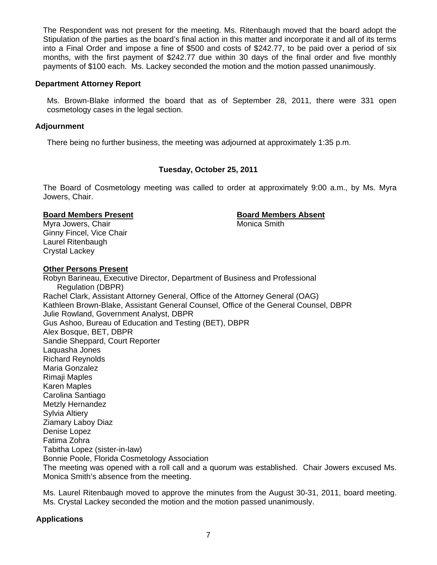The Respondent was not present for the meeting. Ms. Ritenbaugh moved that the board adopt the Stipulation of the parties as the board's final action in this matter and incorporate it and all of its terms into a Final Order and impose a fine of \$500 and costs of \$242.77, to be paid over a period of six months, with the first payment of \$242.77 due within 30 days of the final order and five monthly payments of \$100 each. Ms. Lackey seconded the motion and the motion passed unanimously.

#### **Department Attorney Report**

Ms. Brown-Blake informed the board that as of September 28, 2011, there were 331 open cosmetology cases in the legal section.

#### **Adjournment**

There being no further business, the meeting was adjourned at approximately 1:35 p.m.

#### **Tuesday, October 25, 2011**

The Board of Cosmetology meeting was called to order at approximately 9:00 a.m., by Ms. Myra Jowers, Chair.

#### **Board Members Present Constraining Board Members Absent**

Myra Jowers, Chair **Music America** Smith Ginny Fincel, Vice Chair Laurel Ritenbaugh Crystal Lackey

#### **Other Persons Present**

Robyn Barineau, Executive Director, Department of Business and Professional Regulation (DBPR) Rachel Clark, Assistant Attorney General, Office of the Attorney General (OAG) Kathleen Brown-Blake, Assistant General Counsel, Office of the General Counsel, DBPR Julie Rowland, Government Analyst, DBPR Gus Ashoo, Bureau of Education and Testing (BET), DBPR Alex Bosque, BET, DBPR Sandie Sheppard, Court Reporter Laquasha Jones Richard Reynolds Maria Gonzalez Rimaji Maples Karen Maples Carolina Santiago Metzly Hernandez Sylvia Altiery Ziamary Laboy Diaz Denise Lopez Fatima Zohra Tabitha Lopez (sister-in-law) Bonnie Poole, Florida Cosmetology Association The meeting was opened with a roll call and a quorum was established. Chair Jowers excused Ms. Monica Smith's absence from the meeting.

Ms. Laurel Ritenbaugh moved to approve the minutes from the August 30-31, 2011, board meeting. Ms. Crystal Lackey seconded the motion and the motion passed unanimously.

#### **Applications**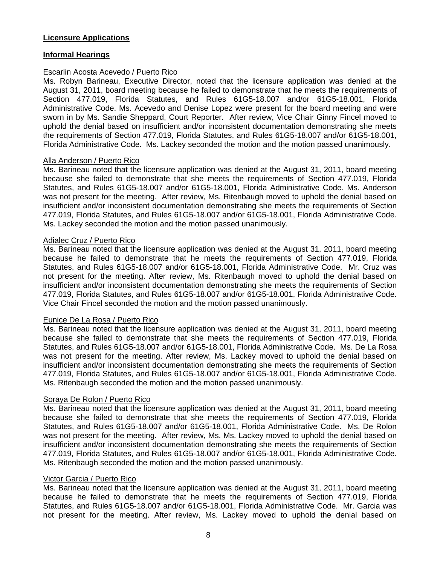# **Licensure Applications**

# **Informal Hearings**

# Escarlin Acosta Acevedo / Puerto Rico

Ms. Robyn Barineau, Executive Director, noted that the licensure application was denied at the August 31, 2011, board meeting because he failed to demonstrate that he meets the requirements of Section 477.019, Florida Statutes, and Rules 61G5-18.007 and/or 61G5-18.001, Florida Administrative Code. Ms. Acevedo and Denise Lopez were present for the board meeting and were sworn in by Ms. Sandie Sheppard, Court Reporter. After review, Vice Chair Ginny Fincel moved to uphold the denial based on insufficient and/or inconsistent documentation demonstrating she meets the requirements of Section 477.019, Florida Statutes, and Rules 61G5-18.007 and/or 61G5-18.001, Florida Administrative Code. Ms. Lackey seconded the motion and the motion passed unanimously.

# Alla Anderson / Puerto Rico

Ms. Barineau noted that the licensure application was denied at the August 31, 2011, board meeting because she failed to demonstrate that she meets the requirements of Section 477.019, Florida Statutes, and Rules 61G5-18.007 and/or 61G5-18.001, Florida Administrative Code. Ms. Anderson was not present for the meeting. After review, Ms. Ritenbaugh moved to uphold the denial based on insufficient and/or inconsistent documentation demonstrating she meets the requirements of Section 477.019, Florida Statutes, and Rules 61G5-18.007 and/or 61G5-18.001, Florida Administrative Code. Ms. Lackey seconded the motion and the motion passed unanimously.

#### Adialec Cruz / Puerto Rico

Ms. Barineau noted that the licensure application was denied at the August 31, 2011, board meeting because he failed to demonstrate that he meets the requirements of Section 477.019, Florida Statutes, and Rules 61G5-18.007 and/or 61G5-18.001, Florida Administrative Code. Mr. Cruz was not present for the meeting. After review, Ms. Ritenbaugh moved to uphold the denial based on insufficient and/or inconsistent documentation demonstrating she meets the requirements of Section 477.019, Florida Statutes, and Rules 61G5-18.007 and/or 61G5-18.001, Florida Administrative Code. Vice Chair Fincel seconded the motion and the motion passed unanimously.

#### Eunice De La Rosa / Puerto Rico

Ms. Barineau noted that the licensure application was denied at the August 31, 2011, board meeting because she failed to demonstrate that she meets the requirements of Section 477.019, Florida Statutes, and Rules 61G5-18.007 and/or 61G5-18.001, Florida Administrative Code. Ms. De La Rosa was not present for the meeting. After review, Ms. Lackey moved to uphold the denial based on insufficient and/or inconsistent documentation demonstrating she meets the requirements of Section 477.019, Florida Statutes, and Rules 61G5-18.007 and/or 61G5-18.001, Florida Administrative Code. Ms. Ritenbaugh seconded the motion and the motion passed unanimously.

# Soraya De Rolon / Puerto Rico

Ms. Barineau noted that the licensure application was denied at the August 31, 2011, board meeting because she failed to demonstrate that she meets the requirements of Section 477.019, Florida Statutes, and Rules 61G5-18.007 and/or 61G5-18.001, Florida Administrative Code. Ms. De Rolon was not present for the meeting. After review, Ms. Ms. Lackey moved to uphold the denial based on insufficient and/or inconsistent documentation demonstrating she meets the requirements of Section 477.019, Florida Statutes, and Rules 61G5-18.007 and/or 61G5-18.001, Florida Administrative Code. Ms. Ritenbaugh seconded the motion and the motion passed unanimously.

#### Victor Garcia / Puerto Rico

Ms. Barineau noted that the licensure application was denied at the August 31, 2011, board meeting because he failed to demonstrate that he meets the requirements of Section 477.019, Florida Statutes, and Rules 61G5-18.007 and/or 61G5-18.001, Florida Administrative Code. Mr. Garcia was not present for the meeting. After review, Ms. Lackey moved to uphold the denial based on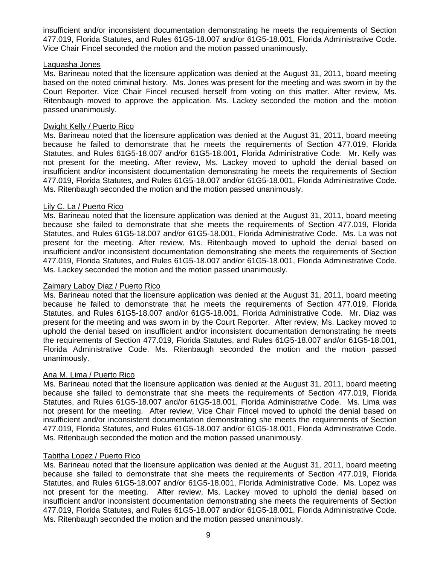insufficient and/or inconsistent documentation demonstrating he meets the requirements of Section 477.019, Florida Statutes, and Rules 61G5-18.007 and/or 61G5-18.001, Florida Administrative Code. Vice Chair Fincel seconded the motion and the motion passed unanimously.

### Laquasha Jones

Ms. Barineau noted that the licensure application was denied at the August 31, 2011, board meeting based on the noted criminal history. Ms. Jones was present for the meeting and was sworn in by the Court Reporter. Vice Chair Fincel recused herself from voting on this matter. After review, Ms. Ritenbaugh moved to approve the application. Ms. Lackey seconded the motion and the motion passed unanimously.

# Dwight Kelly / Puerto Rico

Ms. Barineau noted that the licensure application was denied at the August 31, 2011, board meeting because he failed to demonstrate that he meets the requirements of Section 477.019, Florida Statutes, and Rules 61G5-18.007 and/or 61G5-18.001, Florida Administrative Code. Mr. Kelly was not present for the meeting. After review, Ms. Lackey moved to uphold the denial based on insufficient and/or inconsistent documentation demonstrating he meets the requirements of Section 477.019, Florida Statutes, and Rules 61G5-18.007 and/or 61G5-18.001, Florida Administrative Code. Ms. Ritenbaugh seconded the motion and the motion passed unanimously.

# Lily C. La / Puerto Rico

Ms. Barineau noted that the licensure application was denied at the August 31, 2011, board meeting because she failed to demonstrate that she meets the requirements of Section 477.019, Florida Statutes, and Rules 61G5-18.007 and/or 61G5-18.001, Florida Administrative Code. Ms. La was not present for the meeting. After review, Ms. Ritenbaugh moved to uphold the denial based on insufficient and/or inconsistent documentation demonstrating she meets the requirements of Section 477.019, Florida Statutes, and Rules 61G5-18.007 and/or 61G5-18.001, Florida Administrative Code. Ms. Lackey seconded the motion and the motion passed unanimously.

## Zaimary Laboy Diaz / Puerto Rico

Ms. Barineau noted that the licensure application was denied at the August 31, 2011, board meeting because he failed to demonstrate that he meets the requirements of Section 477.019, Florida Statutes, and Rules 61G5-18.007 and/or 61G5-18.001, Florida Administrative Code. Mr. Diaz was present for the meeting and was sworn in by the Court Reporter. After review, Ms. Lackey moved to uphold the denial based on insufficient and/or inconsistent documentation demonstrating he meets the requirements of Section 477.019, Florida Statutes, and Rules 61G5-18.007 and/or 61G5-18.001, Florida Administrative Code. Ms. Ritenbaugh seconded the motion and the motion passed unanimously.

# Ana M. Lima / Puerto Rico

Ms. Barineau noted that the licensure application was denied at the August 31, 2011, board meeting because she failed to demonstrate that she meets the requirements of Section 477.019, Florida Statutes, and Rules 61G5-18.007 and/or 61G5-18.001, Florida Administrative Code. Ms. Lima was not present for the meeting. After review, Vice Chair Fincel moved to uphold the denial based on insufficient and/or inconsistent documentation demonstrating she meets the requirements of Section 477.019, Florida Statutes, and Rules 61G5-18.007 and/or 61G5-18.001, Florida Administrative Code. Ms. Ritenbaugh seconded the motion and the motion passed unanimously.

#### Tabitha Lopez / Puerto Rico

Ms. Barineau noted that the licensure application was denied at the August 31, 2011, board meeting because she failed to demonstrate that she meets the requirements of Section 477.019, Florida Statutes, and Rules 61G5-18.007 and/or 61G5-18.001, Florida Administrative Code. Ms. Lopez was not present for the meeting. After review, Ms. Lackey moved to uphold the denial based on insufficient and/or inconsistent documentation demonstrating she meets the requirements of Section 477.019, Florida Statutes, and Rules 61G5-18.007 and/or 61G5-18.001, Florida Administrative Code. Ms. Ritenbaugh seconded the motion and the motion passed unanimously.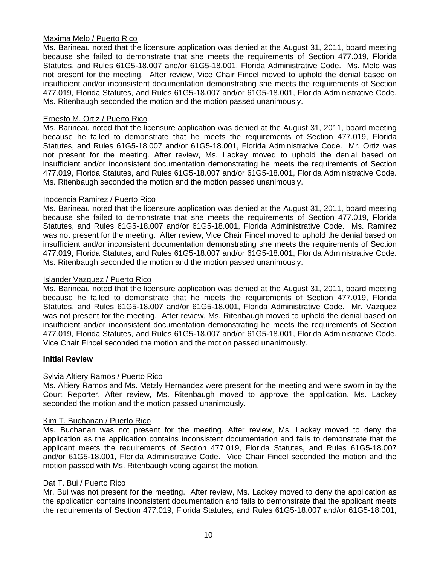# Maxima Melo / Puerto Rico

Ms. Barineau noted that the licensure application was denied at the August 31, 2011, board meeting because she failed to demonstrate that she meets the requirements of Section 477.019, Florida Statutes, and Rules 61G5-18.007 and/or 61G5-18.001, Florida Administrative Code. Ms. Melo was not present for the meeting. After review, Vice Chair Fincel moved to uphold the denial based on insufficient and/or inconsistent documentation demonstrating she meets the requirements of Section 477.019, Florida Statutes, and Rules 61G5-18.007 and/or 61G5-18.001, Florida Administrative Code. Ms. Ritenbaugh seconded the motion and the motion passed unanimously.

## Ernesto M. Ortiz / Puerto Rico

Ms. Barineau noted that the licensure application was denied at the August 31, 2011, board meeting because he failed to demonstrate that he meets the requirements of Section 477.019, Florida Statutes, and Rules 61G5-18.007 and/or 61G5-18.001, Florida Administrative Code. Mr. Ortiz was not present for the meeting. After review, Ms. Lackey moved to uphold the denial based on insufficient and/or inconsistent documentation demonstrating he meets the requirements of Section 477.019, Florida Statutes, and Rules 61G5-18.007 and/or 61G5-18.001, Florida Administrative Code. Ms. Ritenbaugh seconded the motion and the motion passed unanimously.

# Inocencia Ramirez / Puerto Rico

Ms. Barineau noted that the licensure application was denied at the August 31, 2011, board meeting because she failed to demonstrate that she meets the requirements of Section 477.019, Florida Statutes, and Rules 61G5-18.007 and/or 61G5-18.001, Florida Administrative Code. Ms. Ramirez was not present for the meeting. After review, Vice Chair Fincel moved to uphold the denial based on insufficient and/or inconsistent documentation demonstrating she meets the requirements of Section 477.019, Florida Statutes, and Rules 61G5-18.007 and/or 61G5-18.001, Florida Administrative Code. Ms. Ritenbaugh seconded the motion and the motion passed unanimously.

# Islander Vazquez / Puerto Rico

Ms. Barineau noted that the licensure application was denied at the August 31, 2011, board meeting because he failed to demonstrate that he meets the requirements of Section 477.019, Florida Statutes, and Rules 61G5-18.007 and/or 61G5-18.001, Florida Administrative Code. Mr. Vazquez was not present for the meeting. After review, Ms. Ritenbaugh moved to uphold the denial based on insufficient and/or inconsistent documentation demonstrating he meets the requirements of Section 477.019, Florida Statutes, and Rules 61G5-18.007 and/or 61G5-18.001, Florida Administrative Code. Vice Chair Fincel seconded the motion and the motion passed unanimously.

# **Initial Review**

# Sylvia Altiery Ramos / Puerto Rico

Ms. Altiery Ramos and Ms. Metzly Hernandez were present for the meeting and were sworn in by the Court Reporter. After review, Ms. Ritenbaugh moved to approve the application. Ms. Lackey seconded the motion and the motion passed unanimously.

#### Kim T. Buchanan / Puerto Rico

Ms. Buchanan was not present for the meeting. After review, Ms. Lackey moved to deny the application as the application contains inconsistent documentation and fails to demonstrate that the applicant meets the requirements of Section 477.019, Florida Statutes, and Rules 61G5-18.007 and/or 61G5-18.001, Florida Administrative Code. Vice Chair Fincel seconded the motion and the motion passed with Ms. Ritenbaugh voting against the motion.

### Dat T. Bui / Puerto Rico

Mr. Bui was not present for the meeting. After review, Ms. Lackey moved to deny the application as the application contains inconsistent documentation and fails to demonstrate that the applicant meets the requirements of Section 477.019, Florida Statutes, and Rules 61G5-18.007 and/or 61G5-18.001,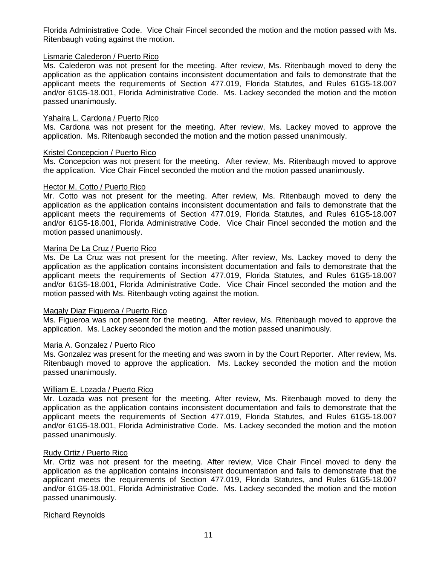Florida Administrative Code. Vice Chair Fincel seconded the motion and the motion passed with Ms. Ritenbaugh voting against the motion.

# Lismarie Calederon / Puerto Rico

Ms. Calederon was not present for the meeting. After review, Ms. Ritenbaugh moved to deny the application as the application contains inconsistent documentation and fails to demonstrate that the applicant meets the requirements of Section 477.019, Florida Statutes, and Rules 61G5-18.007 and/or 61G5-18.001, Florida Administrative Code. Ms. Lackey seconded the motion and the motion passed unanimously.

# Yahaira L. Cardona / Puerto Rico

Ms. Cardona was not present for the meeting. After review, Ms. Lackey moved to approve the application. Ms. Ritenbaugh seconded the motion and the motion passed unanimously.

# Kristel Concepcion / Puerto Rico

Ms. Concepcion was not present for the meeting. After review, Ms. Ritenbaugh moved to approve the application. Vice Chair Fincel seconded the motion and the motion passed unanimously.

#### Hector M. Cotto / Puerto Rico

Mr. Cotto was not present for the meeting. After review, Ms. Ritenbaugh moved to deny the application as the application contains inconsistent documentation and fails to demonstrate that the applicant meets the requirements of Section 477.019, Florida Statutes, and Rules 61G5-18.007 and/or 61G5-18.001, Florida Administrative Code. Vice Chair Fincel seconded the motion and the motion passed unanimously.

# Marina De La Cruz / Puerto Rico

Ms. De La Cruz was not present for the meeting. After review, Ms. Lackey moved to deny the application as the application contains inconsistent documentation and fails to demonstrate that the applicant meets the requirements of Section 477.019, Florida Statutes, and Rules 61G5-18.007 and/or 61G5-18.001, Florida Administrative Code. Vice Chair Fincel seconded the motion and the motion passed with Ms. Ritenbaugh voting against the motion.

#### Magaly Diaz Figueroa / Puerto Rico

Ms. Figueroa was not present for the meeting. After review, Ms. Ritenbaugh moved to approve the application. Ms. Lackey seconded the motion and the motion passed unanimously.

# Maria A. Gonzalez / Puerto Rico

Ms. Gonzalez was present for the meeting and was sworn in by the Court Reporter. After review, Ms. Ritenbaugh moved to approve the application. Ms. Lackey seconded the motion and the motion passed unanimously.

# William E. Lozada / Puerto Rico

Mr. Lozada was not present for the meeting. After review, Ms. Ritenbaugh moved to deny the application as the application contains inconsistent documentation and fails to demonstrate that the applicant meets the requirements of Section 477.019, Florida Statutes, and Rules 61G5-18.007 and/or 61G5-18.001, Florida Administrative Code. Ms. Lackey seconded the motion and the motion passed unanimously.

# Rudy Ortiz / Puerto Rico

Mr. Ortiz was not present for the meeting. After review, Vice Chair Fincel moved to deny the application as the application contains inconsistent documentation and fails to demonstrate that the applicant meets the requirements of Section 477.019, Florida Statutes, and Rules 61G5-18.007 and/or 61G5-18.001, Florida Administrative Code. Ms. Lackey seconded the motion and the motion passed unanimously.

#### Richard Reynolds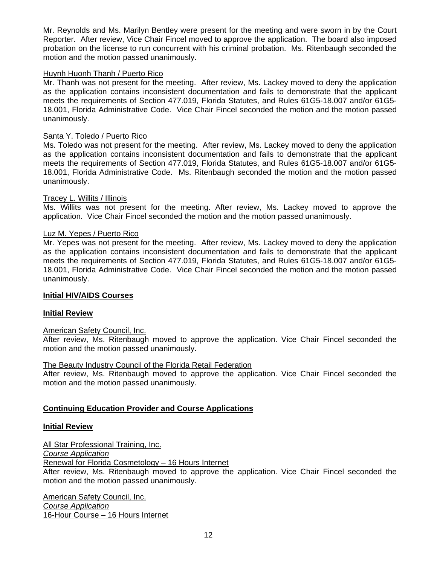Mr. Reynolds and Ms. Marilyn Bentley were present for the meeting and were sworn in by the Court Reporter. After review, Vice Chair Fincel moved to approve the application. The board also imposed probation on the license to run concurrent with his criminal probation. Ms. Ritenbaugh seconded the motion and the motion passed unanimously.

# Huynh Huonh Thanh / Puerto Rico

Mr. Thanh was not present for the meeting. After review, Ms. Lackey moved to deny the application as the application contains inconsistent documentation and fails to demonstrate that the applicant meets the requirements of Section 477.019, Florida Statutes, and Rules 61G5-18.007 and/or 61G5- 18.001, Florida Administrative Code. Vice Chair Fincel seconded the motion and the motion passed unanimously.

## Santa Y. Toledo / Puerto Rico

Ms. Toledo was not present for the meeting. After review, Ms. Lackey moved to deny the application as the application contains inconsistent documentation and fails to demonstrate that the applicant meets the requirements of Section 477.019, Florida Statutes, and Rules 61G5-18.007 and/or 61G5- 18.001, Florida Administrative Code. Ms. Ritenbaugh seconded the motion and the motion passed unanimously.

# Tracey L. Willits / Illinois

Ms. Willits was not present for the meeting. After review, Ms. Lackey moved to approve the application. Vice Chair Fincel seconded the motion and the motion passed unanimously.

#### Luz M. Yepes / Puerto Rico

Mr. Yepes was not present for the meeting. After review, Ms. Lackey moved to deny the application as the application contains inconsistent documentation and fails to demonstrate that the applicant meets the requirements of Section 477.019, Florida Statutes, and Rules 61G5-18.007 and/or 61G5- 18.001, Florida Administrative Code. Vice Chair Fincel seconded the motion and the motion passed unanimously.

#### **Initial HIV/AIDS Courses**

#### **Initial Review**

#### American Safety Council, Inc.

After review, Ms. Ritenbaugh moved to approve the application. Vice Chair Fincel seconded the motion and the motion passed unanimously.

#### The Beauty Industry Council of the Florida Retail Federation

After review, Ms. Ritenbaugh moved to approve the application. Vice Chair Fincel seconded the motion and the motion passed unanimously.

# **Continuing Education Provider and Course Applications**

# **Initial Review**

All Star Professional Training, Inc. *Course Application*

Renewal for Florida Cosmetology – 16 Hours Internet

After review, Ms. Ritenbaugh moved to approve the application. Vice Chair Fincel seconded the motion and the motion passed unanimously.

American Safety Council, Inc. *Course Application*  16-Hour Course – 16 Hours Internet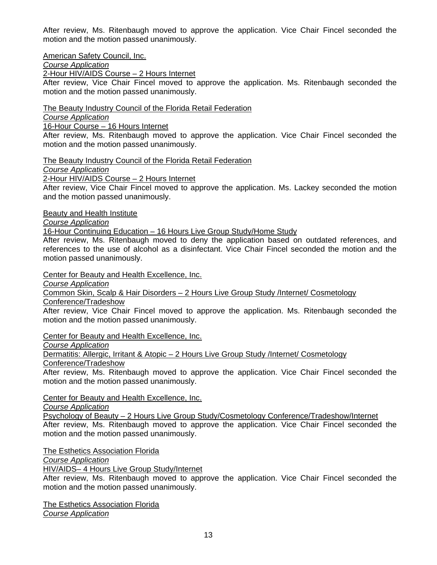After review, Ms. Ritenbaugh moved to approve the application. Vice Chair Fincel seconded the motion and the motion passed unanimously.

American Safety Council, Inc.

*Course Application* 

2-Hour HIV/AIDS Course – 2 Hours Internet

After review, Vice Chair Fincel moved to approve the application. Ms. Ritenbaugh seconded the motion and the motion passed unanimously.

The Beauty Industry Council of the Florida Retail Federation

*Course Application* 

16-Hour Course – 16 Hours Internet

After review, Ms. Ritenbaugh moved to approve the application. Vice Chair Fincel seconded the motion and the motion passed unanimously.

The Beauty Industry Council of the Florida Retail Federation

*Course Application* 

2-Hour HIV/AIDS Course – 2 Hours Internet

After review, Vice Chair Fincel moved to approve the application. Ms. Lackey seconded the motion and the motion passed unanimously.

Beauty and Health Institute

*Course Application* 

16-Hour Continuing Education – 16 Hours Live Group Study/Home Study

After review, Ms. Ritenbaugh moved to deny the application based on outdated references, and references to the use of alcohol as a disinfectant. Vice Chair Fincel seconded the motion and the motion passed unanimously.

Center for Beauty and Health Excellence, Inc.

*Course Application* 

Common Skin, Scalp & Hair Disorders – 2 Hours Live Group Study /Internet/ Cosmetology

Conference/Tradeshow

After review, Vice Chair Fincel moved to approve the application. Ms. Ritenbaugh seconded the motion and the motion passed unanimously.

Center for Beauty and Health Excellence, Inc.

*Course Application* 

Dermatitis: Allergic, Irritant & Atopic - 2 Hours Live Group Study /Internet/ Cosmetology

Conference/Tradeshow

After review, Ms. Ritenbaugh moved to approve the application. Vice Chair Fincel seconded the motion and the motion passed unanimously.

Center for Beauty and Health Excellence, Inc.

*Course Application* 

 Psychology of Beauty – 2 Hours Live Group Study/Cosmetology Conference/Tradeshow/Internet After review, Ms. Ritenbaugh moved to approve the application. Vice Chair Fincel seconded the motion and the motion passed unanimously.

The Esthetics Association Florida

*Course Application*

HIV/AIDS– 4 Hours Live Group Study/Internet

After review, Ms. Ritenbaugh moved to approve the application. Vice Chair Fincel seconded the motion and the motion passed unanimously.

The Esthetics Association Florida *Course Application*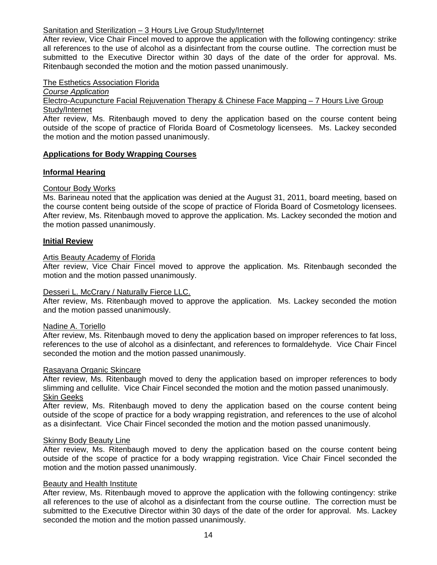# Sanitation and Sterilization - 3 Hours Live Group Study/Internet

After review, Vice Chair Fincel moved to approve the application with the following contingency: strike all references to the use of alcohol as a disinfectant from the course outline. The correction must be submitted to the Executive Director within 30 days of the date of the order for approval. Ms. Ritenbaugh seconded the motion and the motion passed unanimously.

## The Esthetics Association Florida

*Course Application*

Electro-Acupuncture Facial Rejuvenation Therapy & Chinese Face Mapping – 7 Hours Live Group Study/Internet

After review, Ms. Ritenbaugh moved to deny the application based on the course content being outside of the scope of practice of Florida Board of Cosmetology licensees. Ms. Lackey seconded the motion and the motion passed unanimously.

# **Applications for Body Wrapping Courses**

# **Informal Hearing**

# Contour Body Works

Ms. Barineau noted that the application was denied at the August 31, 2011, board meeting, based on the course content being outside of the scope of practice of Florida Board of Cosmetology licensees. After review, Ms. Ritenbaugh moved to approve the application. Ms. Lackey seconded the motion and the motion passed unanimously.

# **Initial Review**

# Artis Beauty Academy of Florida

After review, Vice Chair Fincel moved to approve the application. Ms. Ritenbaugh seconded the motion and the motion passed unanimously.

# Desseri L. McCrary / Naturally Fierce LLC.

After review, Ms. Ritenbaugh moved to approve the application. Ms. Lackey seconded the motion and the motion passed unanimously.

#### Nadine A. Toriello

After review, Ms. Ritenbaugh moved to deny the application based on improper references to fat loss, references to the use of alcohol as a disinfectant, and references to formaldehyde. Vice Chair Fincel seconded the motion and the motion passed unanimously.

#### Rasayana Organic Skincare

After review, Ms. Ritenbaugh moved to deny the application based on improper references to body slimming and cellulite. Vice Chair Fincel seconded the motion and the motion passed unanimously. Skin Geeks

After review, Ms. Ritenbaugh moved to deny the application based on the course content being outside of the scope of practice for a body wrapping registration, and references to the use of alcohol as a disinfectant. Vice Chair Fincel seconded the motion and the motion passed unanimously.

## Skinny Body Beauty Line

After review, Ms. Ritenbaugh moved to deny the application based on the course content being outside of the scope of practice for a body wrapping registration. Vice Chair Fincel seconded the motion and the motion passed unanimously.

#### Beauty and Health Institute

After review, Ms. Ritenbaugh moved to approve the application with the following contingency: strike all references to the use of alcohol as a disinfectant from the course outline. The correction must be submitted to the Executive Director within 30 days of the date of the order for approval. Ms. Lackey seconded the motion and the motion passed unanimously.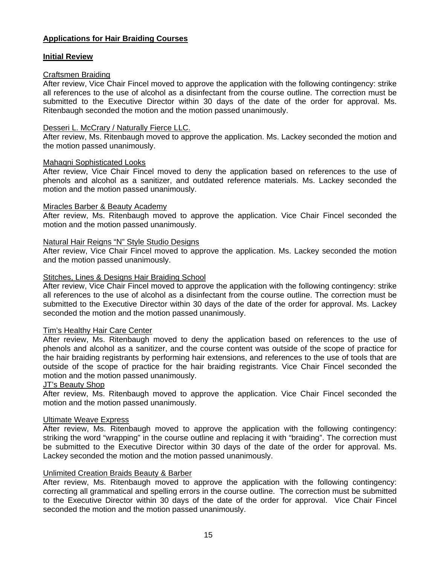# **Applications for Hair Braiding Courses**

# **Initial Review**

# Craftsmen Braiding

After review, Vice Chair Fincel moved to approve the application with the following contingency: strike all references to the use of alcohol as a disinfectant from the course outline. The correction must be submitted to the Executive Director within 30 days of the date of the order for approval. Ms. Ritenbaugh seconded the motion and the motion passed unanimously.

# Desseri L. McCrary / Naturally Fierce LLC.

After review, Ms. Ritenbaugh moved to approve the application. Ms. Lackey seconded the motion and the motion passed unanimously.

#### Mahaqni Sophisticated Looks

After review, Vice Chair Fincel moved to deny the application based on references to the use of phenols and alcohol as a sanitizer, and outdated reference materials. Ms. Lackey seconded the motion and the motion passed unanimously.

#### Miracles Barber & Beauty Academy

After review, Ms. Ritenbaugh moved to approve the application. Vice Chair Fincel seconded the motion and the motion passed unanimously.

# Natural Hair Reigns "N" Style Studio Designs

After review, Vice Chair Fincel moved to approve the application. Ms. Lackey seconded the motion and the motion passed unanimously.

# Stitches, Lines & Designs Hair Braiding School

After review, Vice Chair Fincel moved to approve the application with the following contingency: strike all references to the use of alcohol as a disinfectant from the course outline. The correction must be submitted to the Executive Director within 30 days of the date of the order for approval. Ms. Lackey seconded the motion and the motion passed unanimously.

# Tim's Healthy Hair Care Center

After review, Ms. Ritenbaugh moved to deny the application based on references to the use of phenols and alcohol as a sanitizer, and the course content was outside of the scope of practice for the hair braiding registrants by performing hair extensions, and references to the use of tools that are outside of the scope of practice for the hair braiding registrants. Vice Chair Fincel seconded the motion and the motion passed unanimously.

#### JT's Beauty Shop

After review, Ms. Ritenbaugh moved to approve the application. Vice Chair Fincel seconded the motion and the motion passed unanimously.

#### Ultimate Weave Express

After review, Ms. Ritenbaugh moved to approve the application with the following contingency: striking the word "wrapping" in the course outline and replacing it with "braiding". The correction must be submitted to the Executive Director within 30 days of the date of the order for approval. Ms. Lackey seconded the motion and the motion passed unanimously.

#### Unlimited Creation Braids Beauty & Barber

After review, Ms. Ritenbaugh moved to approve the application with the following contingency: correcting all grammatical and spelling errors in the course outline. The correction must be submitted to the Executive Director within 30 days of the date of the order for approval. Vice Chair Fincel seconded the motion and the motion passed unanimously.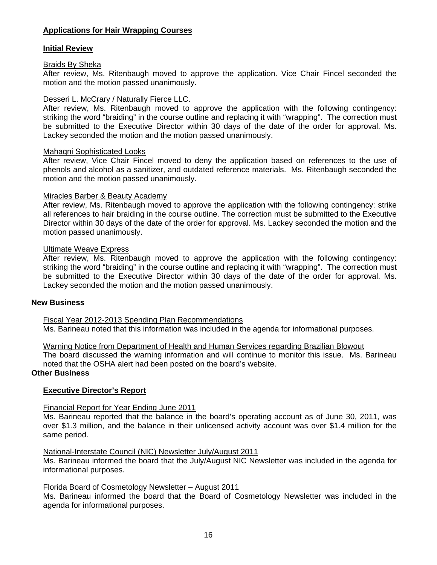# **Applications for Hair Wrapping Courses**

# **Initial Review**

# Braids By Sheka

After review, Ms. Ritenbaugh moved to approve the application. Vice Chair Fincel seconded the motion and the motion passed unanimously.

# Desseri L. McCrary / Naturally Fierce LLC.

After review, Ms. Ritenbaugh moved to approve the application with the following contingency: striking the word "braiding" in the course outline and replacing it with "wrapping". The correction must be submitted to the Executive Director within 30 days of the date of the order for approval. Ms. Lackey seconded the motion and the motion passed unanimously.

#### Mahaqni Sophisticated Looks

After review, Vice Chair Fincel moved to deny the application based on references to the use of phenols and alcohol as a sanitizer, and outdated reference materials. Ms. Ritenbaugh seconded the motion and the motion passed unanimously.

# Miracles Barber & Beauty Academy

After review, Ms. Ritenbaugh moved to approve the application with the following contingency: strike all references to hair braiding in the course outline. The correction must be submitted to the Executive Director within 30 days of the date of the order for approval. Ms. Lackey seconded the motion and the motion passed unanimously.

# Ultimate Weave Express

After review, Ms. Ritenbaugh moved to approve the application with the following contingency: striking the word "braiding" in the course outline and replacing it with "wrapping". The correction must be submitted to the Executive Director within 30 days of the date of the order for approval. Ms. Lackey seconded the motion and the motion passed unanimously.

# **New Business**

Fiscal Year 2012-2013 Spending Plan Recommendations

Ms. Barineau noted that this information was included in the agenda for informational purposes.

#### Warning Notice from Department of Health and Human Services regarding Brazilian Blowout

The board discussed the warning information and will continue to monitor this issue. Ms. Barineau noted that the OSHA alert had been posted on the board's website.

# **Other Business**

# **Executive Director's Report**

#### Financial Report for Year Ending June 2011

Ms. Barineau reported that the balance in the board's operating account as of June 30, 2011, was over \$1.3 million, and the balance in their unlicensed activity account was over \$1.4 million for the same period.

#### National-Interstate Council (NIC) Newsletter July/August 2011

Ms. Barineau informed the board that the July/August NIC Newsletter was included in the agenda for informational purposes.

# Florida Board of Cosmetology Newsletter – August 2011

Ms. Barineau informed the board that the Board of Cosmetology Newsletter was included in the agenda for informational purposes.